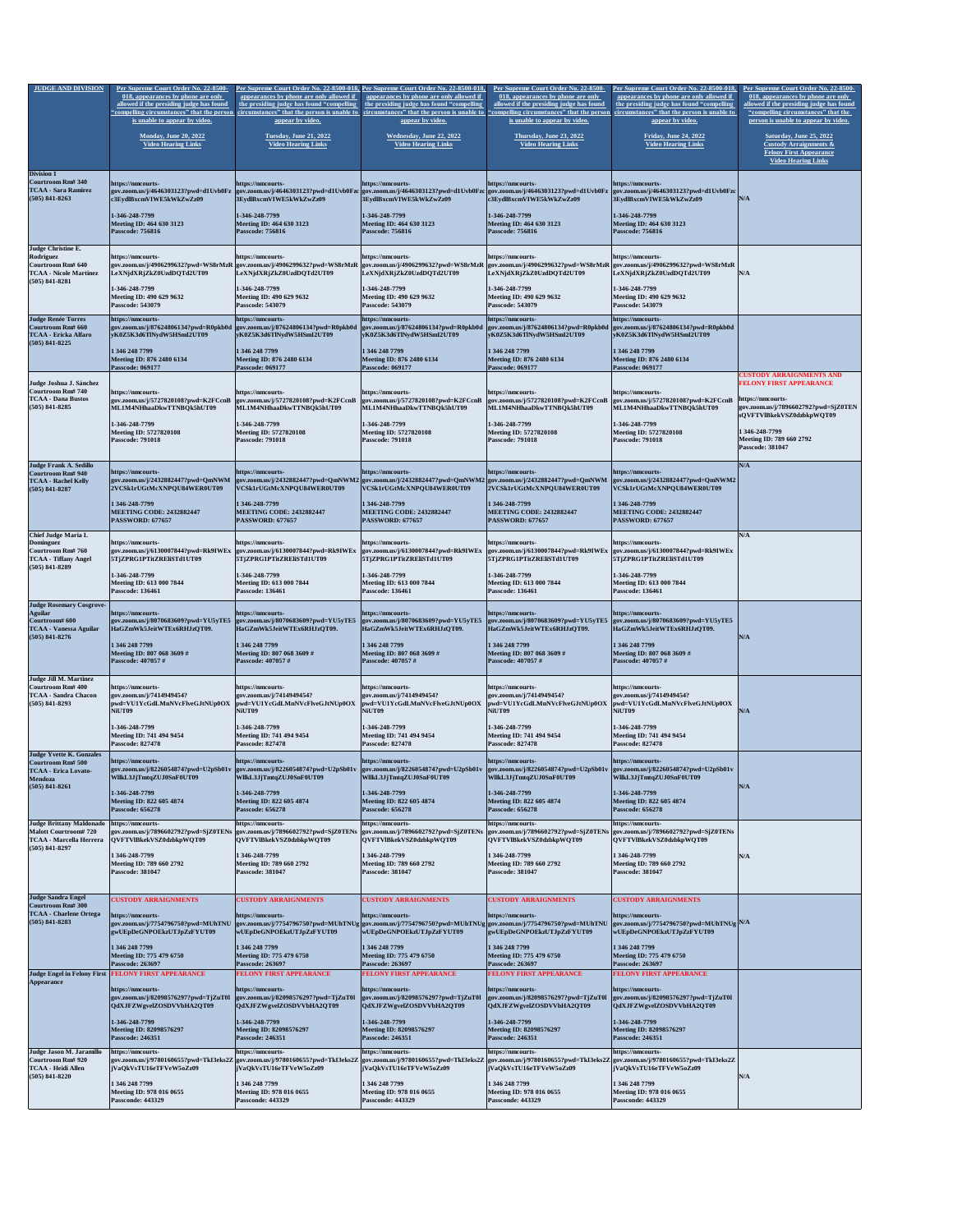| <b>JUDGE AND DIVISION</b>                                                                                            | Per Supreme Court Order No. 22-8500-<br>018, appearances by phone are only                                                                       | Per Supreme Court Order No. 22-8500-018, Per Supreme Court Order No. 22-8500-018,<br>appearances by phone are only allowed if                                                                      | appearances by phone are only allowed if                                                                                  | Per Supreme Court Order No. 22-8500-<br>018, appearances by phone are only                                                                                                                                                                              | Per Supreme Court Order No. 22-8500-018,<br>appearances by phone are only allowed if                                        | Per Supreme Court Order No. 22-8500-<br>018, appearances by phone are only                                                                                   |
|----------------------------------------------------------------------------------------------------------------------|--------------------------------------------------------------------------------------------------------------------------------------------------|----------------------------------------------------------------------------------------------------------------------------------------------------------------------------------------------------|---------------------------------------------------------------------------------------------------------------------------|---------------------------------------------------------------------------------------------------------------------------------------------------------------------------------------------------------------------------------------------------------|-----------------------------------------------------------------------------------------------------------------------------|--------------------------------------------------------------------------------------------------------------------------------------------------------------|
|                                                                                                                      | allowed if the presiding judge has found<br>"compelling circumstances" that the person                                                           | the presiding judge has found "compelling                                                                                                                                                          | the presiding judge has found "compelling                                                                                 | allowed if the presiding judge has found<br>circumstances" that the person is unable to circumstances" that the person is unable to "compelling circumstances" that the person                                                                          | the presiding judge has found "compelling"<br>circumstances" that the person is unable to                                   | allowed if the presiding judge has found<br>"compelling circumstances" that the                                                                              |
|                                                                                                                      | is unable to appear by video.                                                                                                                    | appear by video.                                                                                                                                                                                   | appear by video.                                                                                                          | <b>is unable to appear by video.</b>                                                                                                                                                                                                                    | appear by video.                                                                                                            | person is unable to appear by video.                                                                                                                         |
|                                                                                                                      | <b>Monday, June 20, 2022</b><br><b>Video Hearing Links</b>                                                                                       | <b>Tuesday, June 21, 2022</b><br><b>Video Hearing Links</b>                                                                                                                                        | <b>Wednesday, June 22, 2022</b><br><b>Video Hearing Links</b>                                                             | <b>Thursday, June 23, 2022</b><br><b>Video Hearing Links</b>                                                                                                                                                                                            | <b>Friday, June 24, 2022</b><br><b>Video Hearing Links</b>                                                                  | <b>Saturday, June 25, 2022</b><br><b>Custody Arraignments &amp;</b><br><b>Felony First Appearance</b><br><b>Video Hearing Links</b>                          |
| <b>Division 1</b><br>Courtroom Rm# 340<br><b>TCAA - Sara Ramirez</b><br>$(505)$ 841-8263                             | https://nmcourts-<br> gov.zoom.us/j/4646303123?pwd=d1Uvb0Fz<br>c3EydlBxcmVIWE5kWkZwZz09                                                          | https://nmcourts-<br>3EydlBxcmVIWE5kWkZwZz09                                                                                                                                                       | https://nmcourts-<br>3EydlBxcmVIWE5kWkZwZz09                                                                              | https://nmcourts-<br> gov.zoom.us/j/4646303123?pwd=d1Uvb0Fzc gov.zoom.us/j/4646303123?pwd=d1Uvb0Fzc gov.zoom.us/j/4646303123?pwd=d1Uvb0Fz  gov.zoom.us/j/4646303123?pwd=d1Uvb0Fzc <br>c3EydlBxcmVIWE5kWkZwZz09                                          | https://nmcourts-<br>3EydlBxcmVIWE5kWkZwZz09                                                                                | N/A                                                                                                                                                          |
|                                                                                                                      | 1-346-248-7799<br>Meeting ID: 464 630 3123<br><b>Passcode: 756816</b>                                                                            | 1-346-248-7799<br><b>Meeting ID: 464 630 3123</b><br><b>Passcode: 756816</b>                                                                                                                       | 1-346-248-7799<br><b>Meeting ID: 464 630 3123</b><br><b>Passcode: 756816</b>                                              | 1-346-248-7799<br>Meeting ID: 464 630 3123<br><b>Passcode: 756816</b>                                                                                                                                                                                   | 1-346-248-7799<br><b>Meeting ID: 464 630 3123</b><br><b>Passcode: 756816</b>                                                |                                                                                                                                                              |
| Judge Christine E.<br>Rodriguez<br><b>Courtroom Rm# 640</b><br><b>TCAA - Nicole Martinez</b><br>$(505)$ 841-8281     | https://nmcourts-<br>LeXNjdXRjZkZ0UzdDQTd2UT09                                                                                                   | https://nmcourts-<br> LeXNjdXRjZkZ0UzdDQTd2UT09                                                                                                                                                    | https://nmcourts-<br> LeXNjdXRjZkZ0UzdDQTd2UT09                                                                           | https://nmcourts-<br> gov.zoom.us/j/4906299632?pwd=WS8rMzR  gov.zoom.us/j/4906299632?pwd=WS8rMzR  gov.zoom.us/j/4906299632?pwd=WS8rMzR  gov.zoom.us/j/4906299632?pwd=WS8rMzR  gov.zoom.us/j/4906299632?pwd=WS8rMzR<br>LeXNjdXRjZkZ0UzdDQTd2UT09         | https://nmcourts-<br>LeXNjdXRjZkZ0UzdDQTd2UT09                                                                              | N/A                                                                                                                                                          |
|                                                                                                                      | 1-346-248-7799<br>Meeting ID: 490 629 9632<br><b>Passcode: 543079</b>                                                                            | 1-346-248-7799<br>Meeting ID: 490 629 9632<br><b>Passcode: 543079</b>                                                                                                                              | 1-346-248-7799<br><b>Meeting ID: 490 629 9632</b><br><b>Passcode: 543079</b>                                              | 1-346-248-7799<br>Meeting ID: 490 629 9632<br><b>Passcode: 543079</b>                                                                                                                                                                                   | 1-346-248-7799<br><b>Meeting ID: 490 629 9632</b><br><b>Passcode: 543079</b>                                                |                                                                                                                                                              |
| <b>Judge Renée Torres</b><br>Courtroom Rm# 660<br><b>TCAA - Ericka Alfaro</b><br>$(505)$ 841-8225                    | https://nmcourts-<br>yK0Z5K3d6TlNydW5HSmI2UT09                                                                                                   | https://nmcourts-<br>gov.zoom.us/j/87624806134?pwd=R0pkb0d  gov.zoom.us/j/87624806134?pwd=R0pkb0d  gov.zoom.us/j/87624806134?pwd=R0pkb0d<br>yK0Z5K3d6TlNydW5HSmI2UT09                              | https://nmcourts-<br> yK0Z5K3d6TlNydW5HSmI2UT09                                                                           | https://nmcourts-<br>$\left  \text{gov.zoom.us/j}/87624806134? \text{pwd}=R0 \text{pkb}0 \text{d} \right $<br>yK0Z5K3d6TlNydW5HSmI2UT09                                                                                                                 | https://nmcourts-<br>$\sqrt{gov.zoom.us/j/87624806134?pwd=R0pkb0d}$<br>yK0Z5K3d6TlNydW5HSmI2UT09                            |                                                                                                                                                              |
|                                                                                                                      | 1 346 248 7799<br>Meeting ID: 876 2480 6134<br><b>Passcode: 069177</b>                                                                           | 1 346 248 7799<br>Meeting ID: 876 2480 6134<br><b>Passcode: 069177</b>                                                                                                                             | 1 346 248 7799<br>Meeting ID: 876 2480 6134<br><b>Passcode: 069177</b>                                                    | 1 346 248 7799<br><b>Meeting ID: 876 2480 6134</b><br><b>Passcode: 069177</b>                                                                                                                                                                           | 1 346 248 7799<br>Meeting ID: 876 2480 6134<br><b>Passcode: 069177</b>                                                      |                                                                                                                                                              |
| Judge Joshua J. Sánchez<br> Courtroom Rm# 740<br><b>TCAA - Dana Bustos</b><br>$(505)$ 841-8285                       | https://nmcourts-<br>gov.zoom.us/j/5727820108?pwd=K2FCcnB<br>ML1M4NHhaaDkwTTNBQk5hUT09<br>1-346-248-7799                                         | https://nmcourts-<br>$\gamma$ gov.zoom.us/j/5727820108?pwd=K2FCcnB<br>ML1M4NHhaaDkwTTNBQk5hUT09<br>1-346-248-7799                                                                                  | https://nmcourts-<br>$\frac{1}{2}$ gov.zoom.us/j/5727820108?pwd=K2FCcnB<br>ML1M4NHhaaDkwTTNBQk5hUT09<br>1-346-248-7799    | https://nmcourts-<br>$\frac{1}{2}$ gov.zoom.us/j/5727820108?pwd=K2FCcnB $\frac{1}{2}$ gov.zoom.us/j/5727820108?pwd=K2FCcnB<br>ML1M4NHhaaDkwTTNBQk5hUT09<br>1-346-248-7799                                                                               | https://nmcourts-<br>ML1M4NHhaaDkwTTNBQk5hUT09<br>1-346-248-7799                                                            | <b>CUSTODY ARRAIGNMENTS AND</b><br><b>FELONY FIRST APPEARANCE</b><br>https://nmcourts-<br> gov.zoom.us/j/7896602792?pwd=SjZ0TEN<br>sQVFTVlBkekVSZ0dzbkpWQT09 |
|                                                                                                                      | <b>Meeting ID: 5727820108</b><br><b>Passcode: 791018</b>                                                                                         | <b>Meeting ID: 5727820108</b><br><b>Passcode: 791018</b>                                                                                                                                           | <b>Meeting ID: 5727820108</b><br><b>Passcode: 791018</b>                                                                  | Meeting ID: 5727820108<br><b>Passcode: 791018</b>                                                                                                                                                                                                       | <b>Meeting ID: 5727820108</b><br><b>Passcode: 791018</b>                                                                    | 1 346-248-7799<br>Meeting ID: 789 660 2792<br><b>Passcode: 381047</b>                                                                                        |
| Judge Frank A. Sedillo<br>Courtroom Rm# 940<br><b>TCAA - Rachel Kelly</b><br>$(505) 841 - 8287$                      | https://nmcourts-<br>2VCSk1rUGtMcXNPQU84WER0UT09                                                                                                 | https://nmcourts-<br> gov.zoom.us/j/2432882447?pwd=QmNWM  gov.zoom.us/j/2432882447?pwd=QmNWM2 gov.zoom.us/j/2432882447?pwd=QmNWM2 gov.zoom.us/j/2432882447?pwd=QmNWM<br>VCSk1rUGtMcXNPQU84WER0UT09 | https://nmcourts-<br>VCSk1rUGtMcXNPQU84WER0UT09                                                                           | https://nmcourts-<br>2VCSk1rUGtMcXNPQU84WER0UT09                                                                                                                                                                                                        | https://nmcourts-<br>$\vert$ gov.zoom.us/j/2432882447?pwd=QmNWM2<br>VCSk1rUGtMcXNPQU84WER0UT09                              | N/A                                                                                                                                                          |
|                                                                                                                      | 1 346-248-7799<br><b>MEETING CODE: 2432882447</b><br><b>PASSWORD: 677657</b>                                                                     | 1 346-248-7799<br><b>MEETING CODE: 2432882447</b><br><b>PASSWORD: 677657</b>                                                                                                                       | 1 346-248-7799<br><b>MEETING CODE: 2432882447</b><br><b>PASSWORD: 677657</b>                                              | 1 346-248-7799<br><b>MEETING CODE: 2432882447</b><br><b>PASSWORD: 677657</b>                                                                                                                                                                            | 1 346-248-7799<br><b>MEETING CODE: 2432882447</b><br><b>PASSWORD: 677657</b>                                                |                                                                                                                                                              |
| <b>Chief Judge Maria I.</b><br>Dominguez<br>Courtroom Rm# 760<br><b>TCAA - Tiffany Angel</b>                         | https://nmcourts-<br>gov.zoom.us/j/6130007844?pwd=Rk9IWE<br> 5TjZPRG1PTitZREliSTd1UT09                                                           | https://nmcourts-<br>$\frac{1}{2}$ gov.zoom.us/j/6130007844?pwd=Rk9IWEx<br> 5TjZPRG1PTitZREliSTd1UT09                                                                                              | https://nmcourts-<br>$ gov.zoom.us/j/6130007844?pwd=Rk9IWEx$<br> 5TjZPRG1PTitZREliSTd1UT09                                | https://nmcourts-<br> gov.zoom.us/j/6130007844?pwd=Rk9IWEx<br> 5TjZPRG1PTitZREliSTd1UT09                                                                                                                                                                | https://nmcourts-<br>$\frac{1}{2}$ gov.zoom.us/j/6130007844?pwd=Rk9IWEx<br> 5TjZPRG1PTitZREliSTd1UT09                       | N/A                                                                                                                                                          |
| $(505) 841 - 8289$                                                                                                   | 1-346-248-7799<br>Meeting ID: 613 000 7844<br><b>Passcode: 136461</b>                                                                            | 1-346-248-7799<br>Meeting ID: 613 000 7844<br><b>Passcode: 136461</b>                                                                                                                              | 1-346-248-7799<br><b>Meeting ID: 613 000 7844</b><br><b>Passcode: 136461</b>                                              | 1-346-248-7799<br>Meeting ID: 613 000 7844<br><b>Passcode: 136461</b>                                                                                                                                                                                   | 1-346-248-7799<br><b>Meeting ID: 613 000 7844</b><br><b>Passcode: 136461</b>                                                |                                                                                                                                                              |
| <b>Judge Rosemary Cosgrove-</b><br><b>Aguilar</b><br>Courtroom# 600<br> TCAA - Vanessa Aguilar<br>$(505) 841 - 8276$ | https://nmcourts-<br>HaGZmWk5JeitWTEx6RHJzQT09.                                                                                                  | https://nmcourts-<br> gov.zoom.us/j/8070683609?pwd=YU5yTE5  gov.zoom.us/j/8070683609?pwd=YU5yTE5  gov.zoom.us/j/8070683609?pwd=YU5yTE5<br>HaGZmWk5JeitWTEx6RHJzQT09.                               | https://nmcourts-<br>HaGZmWk5JeitWTEx6RHJzQT09.                                                                           | https://nmcourts-<br>$\left  \text{gov.zoom.us/j/8070683609?pwd=YU5yTE5} \right  \text{gov.zoom.us/j/8070683609?pwd=YU5yTE5}$<br>HaGZmWk5JeitWTEx6RHJzQT09.                                                                                             | https://nmcourts-<br>HaGZmWk5JeitWTEx6RHJzQT09.                                                                             | N/A                                                                                                                                                          |
|                                                                                                                      | 1 346 248 7799<br>Meeting ID: 807 068 3609 #<br>Passcode: 407057#                                                                                | 1 346 248 7799<br>Meeting ID: 807 068 3609 #<br><b>Passcode: 407057 #</b>                                                                                                                          | 1 346 248 7799<br>Meeting ID: 807 068 3609 #<br>Passcode: 407057 #                                                        | 1 346 248 7799<br>Meeting ID: 807 068 3609 #<br>Passcode: 407057 #                                                                                                                                                                                      | 1 346 248 7799<br>Meeting ID: 807 068 3609 #<br><b>Passcode: 407057 #</b>                                                   |                                                                                                                                                              |
| Judge Jill M. Martinez<br> Courtroom Rm# 400  <br><b>TCAA - Sandra Chacon</b><br>$(505)$ 841-8293                    | https://nmcourts-<br>gov.zoom.us/j/7414949454?<br>pwd=VU1YcGdLMnNVcFlveGJtNUp0OX<br>NiUT09                                                       | https://nmcourts-<br> gov.zoom.us/j/7414949454?<br>$ {\rm pwd=VU1YcGdLMnNVcFlveGJtNUp0OX} $<br>NiUT09                                                                                              | https://nmcourts-<br>gov.zoom.us/j/7414949454?<br>$ {\rm pwd=VU1YcGdLMnNVcFlveGJtNUp0OX} $<br>NiUT09                      | https://nmcourts-<br> gov.zoom.us/j/7414949454?<br> pwd=VU1YcGdLMnNVcFlveGJtNUp0OX <br>NiUT09                                                                                                                                                           | https://nmcourts-<br>gov.zoom.us/j/7414949454?<br>$ {\rm pwd=VU1YcGdLMnNVcFlveGJtNUp0OX} $<br>NiUT09                        | N/A                                                                                                                                                          |
|                                                                                                                      | 1-346-248-7799<br><b>Meeting ID: 741 494 9454</b><br><b>Passcode: 827478</b>                                                                     | 1-346-248-7799<br><b>Meeting ID: 741 494 9454</b><br><b>Passcode: 827478</b>                                                                                                                       | 1-346-248-7799<br><b>Meeting ID: 741 494 9454</b><br><b>Passcode: 827478</b>                                              | 1-346-248-7799<br><b>Meeting ID: 741 494 9454</b><br><b>Passcode: 827478</b>                                                                                                                                                                            | 1-346-248-7799<br><b>Meeting ID: 741 494 9454</b><br><b>Passcode: 827478</b>                                                |                                                                                                                                                              |
| <b>Judge Yvette K. Gonzales</b><br>Courtroom Rm# 500<br><b>TCAA - Erica Lovato-</b><br>Mendoza                       | https://nmcourts-<br> gov.zoom.us/j/8226054874?pwd=U2pSb01v<br>WilkL3JjTmtqZUJ0SnF0UT09                                                          | https://nmcourts-<br>$\frac{1}{2}$ gov.zoom.us/j/8226054874?pwd=U2pSb01v<br>WllkL3JjTmtqZUJ0SnF0UT09                                                                                               | https://nmcourts-<br>$ gov.zoom.us/j/8226054874?pwd=U2pSb01v$<br>WIIkL3JjTmtqZUJ0SnF0UT09                                 | https://nmcourts-<br> gov.zoom.us/j/8226054874?pwd=U2pSb01v<br>WIIkL3JjTmtqZUJ0SnF0UT09                                                                                                                                                                 | https://nmcourts-<br>$ gov.zoom.us/j/8226054874?pwd=U2pSb01v$<br> WllkL3JjTmtqZUJ0SnF0UT09                                  |                                                                                                                                                              |
| $(505)$ 841-8261                                                                                                     | 1-346-248-7799<br><b>Meeting ID: 822 605 4874</b><br><b>Passcode: 656278</b>                                                                     | 1-346-248-7799<br>Meeting ID: 822 605 4874<br><b>Passcode: 656278</b>                                                                                                                              | 1-346-248-7799<br><b>Meeting ID: 822 605 4874</b><br><b>Passcode: 656278</b>                                              | 1-346-248-7799<br><b>Meeting ID: 822 605 4874</b><br><b>Passcode: 656278</b>                                                                                                                                                                            | 1-346-248-7799<br><b>Meeting ID: 822 605 4874</b><br><b>Passcode: 656278</b>                                                | N/A                                                                                                                                                          |
| Judge Brittany Maldonado<br>Malott Courtroom#720<br><b>TCAA - Marcella Herrera</b><br>$(505)$ 841-8297               | https://nmcourts-<br>gov.zoom.us/j/7896602792?pwd=SjZ0TENs<br>QVFTVlBkekVSZ0dzbkpWQT09                                                           | https://nmcourts-<br>$\frac{1}{2}$ gov.zoom.us/j/7896602792?pwd=SjZ0TENs $\frac{1}{2}$ gov.zoom.us/j/7896602792?pwd=SjZ0TENs<br>QVFTVlBkekVSZ0dzbkpWQT09                                           | https://nmcourts-<br> QVFTVlBkekVSZ0dzbkpWQT09                                                                            | https://nmcourts-<br>$\frac{1}{2}$ gov.zoom.us/j/7896602792?pwd=SjZ0TENs<br> QVFTVlBkekVSZ0dzbkpWQT09                                                                                                                                                   | https://nmcourts-<br>$ gov.zoom.us/j/7896602792? pwd=SjZ0TENS$<br> QVFTVlBkekVSZ0dzbkpWQT09_                                |                                                                                                                                                              |
|                                                                                                                      | 1 346-248-7799<br><b>Meeting ID: 789 660 2792</b><br><b>Passcode: 381047</b>                                                                     | 1 346-248-7799<br><b>Meeting ID: 789 660 2792</b><br><b>Passcode: 381047</b>                                                                                                                       | 1 346-248-7799<br><b>Meeting ID: 789 660 2792</b><br><b>Passcode: 381047</b>                                              | 1 346-248-7799<br><b>Meeting ID: 789 660 2792</b><br><b>Passcode: 381047</b>                                                                                                                                                                            | 1 346-248-7799<br><b>Meeting ID: 789 660 2792</b><br><b>Passcode: 381047</b>                                                | N/A                                                                                                                                                          |
| <b>Judge Sandra Engel</b><br>Courtroom Rm# 300<br><b>TCAA - Charlene Ortega</b><br>$(505)$ 841-8283                  | <b>CUSTODY ARRAIGNMENTS</b><br>https://nmcourts-                                                                                                 | <b>CUSTODY ARRAIGNMENTS</b><br>https://nmcourts-                                                                                                                                                   | <b>CUSTODY ARRAIGNMENTS</b><br>https://nmcourts-                                                                          | <b>CUSTODY ARRAIGNMENTS</b><br>https://nmcourts-                                                                                                                                                                                                        | <b>CUSTODY ARRAIGNMENTS</b><br>https://nmcourts-                                                                            |                                                                                                                                                              |
|                                                                                                                      | gov.zoom.us/j/7754796750?pwd=MUhTNU<br>gwUEpDeGNPOEkzUTJpZzFYUT09<br>1 346 248 7799                                                              | wUEpDeGNPOEkzUTJpZzFYUT09<br>1 346 248 7799                                                                                                                                                        | wUEpDeGNPOEkzUTJpZzFYUT09<br>1 346 248 7799                                                                               | $\rm [gov.zoom.us/j/7754796750?pwd=MUhTNUg/gov.zoom.us/j/7754796750?pwd=MUhTNUg/gov.zoom.us/j/7754796750?pwd=MUhTNU~gov.zoom.us/j/7754796750?pwd=MUhTNUg N/A$<br>gwUEpDeGNPOEkzUTJpZzFYUT09<br>1 346 248 7799                                           | wUEpDeGNPOEkzUTJpZzFYUT09<br>1 346 248 7799                                                                                 |                                                                                                                                                              |
|                                                                                                                      | <b>Meeting ID: 775 479 6750</b><br><b>Passcode: 263697</b>                                                                                       | <b>Meeting ID: 775 479 6750</b><br><b>Passcode: 263697</b>                                                                                                                                         | <b>Meeting ID: 775 479 6750</b><br><b>Passcode: 263697</b>                                                                | <b>Meeting ID: 775 479 6750</b><br><b>Passcode: 263697</b>                                                                                                                                                                                              | <b>Meeting ID: 775 479 6750</b><br><b>Passcode: 263697</b>                                                                  |                                                                                                                                                              |
| <b>Appearance</b>                                                                                                    | Judge Engel in Felony First   FELONY FIRST APPEARANCE<br>https://nmcourts-<br>gov.zoom.us/j/82098576297?pwd=TjZuT0l<br>QdXJFZWgvelZOSDVVbHA2QT09 | <b>FELONY FIRST APPEARANCE</b><br>https://nmcourts-<br>$\frac{1}{2}$ gov.zoom.us/j/82098576297?pwd=TjZuT0l<br> QdXJFZWgvelZOSDVVbHA2QT09                                                           | <b>FELONY FIRST APPEARANCE</b><br>https://nmcourts-<br>gov.zoom.us/j/82098576297?pwd=TjZuT0<br> QdXJFZWgvelZOSDVVbHA2QT09 | <b>FELONY FIRST APPEARANCE</b><br>Ihttps://nmcourts-<br> gov.zoom.us/j/82098576297?pwd=TjZuT0l<br> QdXJFZWgvelZOSDVVbHA2QT09                                                                                                                            | <b>FELONY FIRST APPEARANCE</b><br>https://nmcourts-<br> gov.zoom.us/j/82098576297?pwd=TjZuT0l<br> QdXJFZWgvelZOSDVVbHA2QT09 |                                                                                                                                                              |
|                                                                                                                      | 1-346-248-7799<br>Meeting ID: 82098576297<br><b>Passcode: 246351</b>                                                                             | 1-346-248-7799<br><b>Meeting ID: 82098576297</b><br><b>Passcode: 246351</b>                                                                                                                        | 1-346-248-7799<br><b>Meeting ID: 82098576297</b><br><b>Passcode: 246351</b>                                               | 1-346-248-7799<br>Meeting ID: 82098576297<br><b>Passcode: 246351</b>                                                                                                                                                                                    | 1-346-248-7799<br><b>Meeting ID: 82098576297</b><br><b>Passcode: 246351</b>                                                 |                                                                                                                                                              |
| Judge Jason M. Jaramillo<br> Courtroom Rm# 920<br> TCAA - Heidi Allen                                                | https://nmcourts-<br><b>JVaQkVsTU16eTFVeW5oZz09</b>                                                                                              | https://nmcourts-<br>jVaQkVsTU16eTFVeW5oZz09                                                                                                                                                       | https://nmcourts-<br>jVaQkVsTU16eTFVeW5oZz09                                                                              | https://nmcourts-<br>gov.zoom.us/j/9780160655?pwd=TkI3eks2Z gov.zoom.us/j/9780160655?pwd=TkI3eks2Z  gov.zoom.us/j/9780160655?pwd=TkI3eks2Z  gov.zoom.us/j/9780160655?pwd=TkI3eks2Z  gov.zoom.us/j/9780160655?pwd=TkI3eks2Z  <br>jVaQkVsTU16eTFVeW5oZz09 | https://nmcourts-<br> jVaQkVsTU16eTFVeW5oZz09                                                                               |                                                                                                                                                              |
| $(505) 841 - 8220$                                                                                                   | 1 346 248 7799                                                                                                                                   | 1 346 248 7799                                                                                                                                                                                     | 1 346 248 7799                                                                                                            | 1 346 248 7799                                                                                                                                                                                                                                          | 1 346 248 7799                                                                                                              | N/A                                                                                                                                                          |

| ID: 978 016 0655<br>$\blacksquare$<br>rino | , ID: 978 016 0655<br>Meeth. | <b>Meetir</b><br><b>TID: 978 016 0655</b> | Meetin<br>: 978 016 0655 | ID: 978 016 0655<br>Meeting |
|--------------------------------------------|------------------------------|-------------------------------------------|--------------------------|-----------------------------|
| <b>Passconde: 443329</b>                   | de: 443329                   | $\therefore 443329$                       | nde: 443329              | <i>s</i> conde: 443329      |
|                                            |                              |                                           |                          |                             |